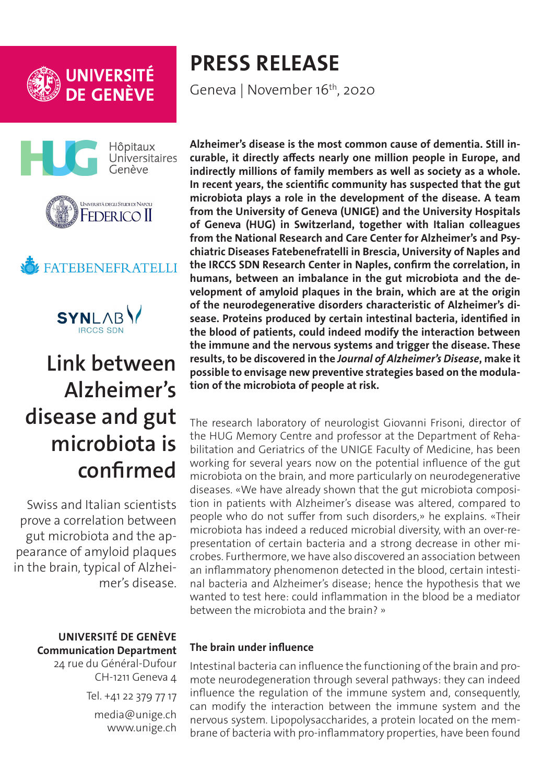





# **FATEBENEFRATELLI**



# **Link between Alzheimer's disease and gut microbiota is confirmed**

Swiss and Italian scientists prove a correlation between gut microbiota and the appearance of amyloid plaques in the brain, typical of Alzheimer's disease.

## **UNIVERSITÉ DE GENÈVE Communication Department**

24 rue du Général-Dufour CH-1211 Geneva 4 Tel. +41 22 379 77 17 media@unige.ch www.unige.ch

# **PRESS RELEASE**

Geneva | November 16<sup>th</sup>, 2020

**Alzheimer's disease is the most common cause of dementia. Still incurable, it directly affects nearly one million people in Europe, and indirectly millions of family members as well as society as a whole. In recent years, the scientific community has suspected that the gut microbiota plays a role in the development of the disease. A team from the University of Geneva (UNIGE) and the University Hospitals of Geneva (HUG) in Switzerland, together with Italian colleagues from the National Research and Care Center for Alzheimer's and Psychiatric Diseases Fatebenefratelli in Brescia, University of Naples and the IRCCS SDN Research Center in Naples, confirm the correlation, in humans, between an imbalance in the gut microbiota and the development of amyloid plaques in the brain, which are at the origin of the neurodegenerative disorders characteristic of Alzheimer's disease. Proteins produced by certain intestinal bacteria, identified in the blood of patients, could indeed modify the interaction between the immune and the nervous systems and trigger the disease. These results, to be discovered in the** *Journal of Alzheimer's Disease***, make it possible to envisage new preventive strategies based on the modulation of the microbiota of people at risk.**

The research laboratory of neurologist Giovanni Frisoni, director of the HUG Memory Centre and professor at the Department of Rehabilitation and Geriatrics of the UNIGE Faculty of Medicine, has been working for several years now on the potential influence of the gut microbiota on the brain, and more particularly on neurodegenerative diseases. «We have already shown that the gut microbiota composition in patients with Alzheimer's disease was altered, compared to people who do not suffer from such disorders,» he explains. «Their microbiota has indeed a reduced microbial diversity, with an over-representation of certain bacteria and a strong decrease in other microbes. Furthermore, we have also discovered an association between an inflammatory phenomenon detected in the blood, certain intestinal bacteria and Alzheimer's disease; hence the hypothesis that we wanted to test here: could inflammation in the blood be a mediator between the microbiota and the brain? »

# **The brain under influence**

Intestinal bacteria can influence the functioning of the brain and promote neurodegeneration through several pathways: they can indeed influence the regulation of the immune system and, consequently, can modify the interaction between the immune system and the nervous system. Lipopolysaccharides, a protein located on the membrane of bacteria with pro-inflammatory properties, have been found